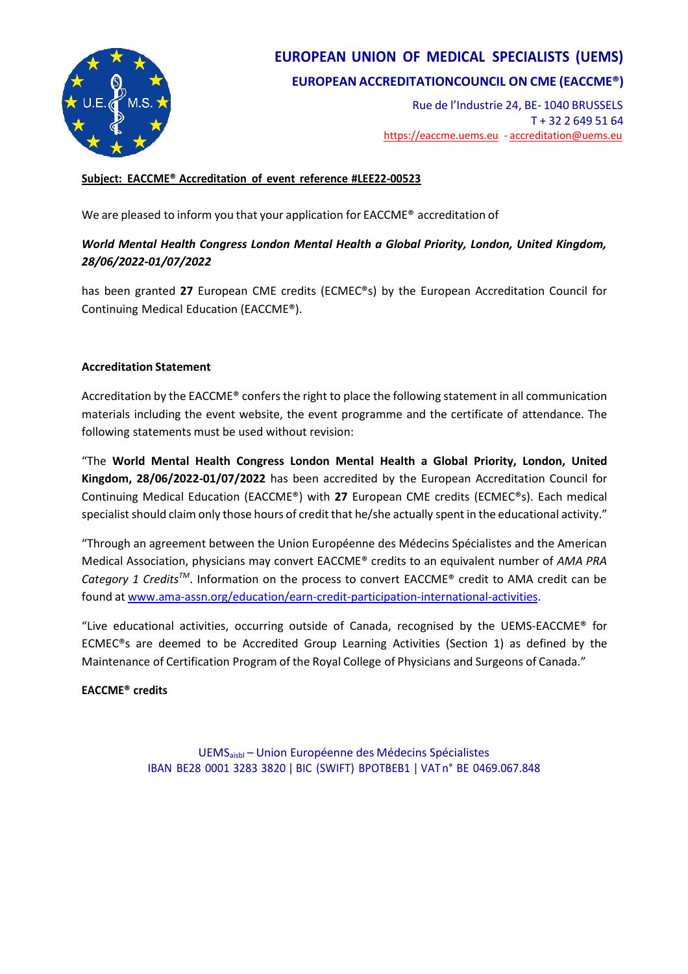

## **EUROPEAN UNION OF MEDICAL SPECIALISTS (UEMS) EUROPEAN ACCREDITATIONCOUNCIL ON CME (EACCME®)**

Rue de l'Industrie 24, BE- 1040 BRUSSELS T + 32 2 649 51 64 [https://eaccme.uems.eu](https://eaccme.uems.eu/) - [accreditation@uems.eu](mailto:accreditation@uems.eu)

#### **Subject: EACCME® Accreditation of event reference #LEE22-00523**

We are pleased to inform you that your application for EACCME® accreditation of

#### *World Mental Health Congress London Mental Health a Global Priority, London, United Kingdom, 28/06/2022-01/07/2022*

has been granted **27** European CME credits (ECMEC®s) by the European Accreditation Council for Continuing Medical Education (EACCME®).

#### **Accreditation Statement**

Accreditation by the EACCME<sup>®</sup> confers the right to place the following statement in all communication materials including the event website, the event programme and the certificate of attendance. The following statements must be used without revision:

"The **World Mental Health Congress London Mental Health a Global Priority, London, United Kingdom, 28/06/2022-01/07/2022** has been accredited by the European Accreditation Council for Continuing Medical Education (EACCME®) with **27** European CME credits (ECMEC®s). Each medical specialist should claim only those hours of credit that he/she actually spent in the educational activity."

"Through an agreement between the Union Européenne des Médecins Spécialistes and the American Medical Association, physicians may convert EACCME® credits to an equivalent number of *AMA PRA Category 1 CreditsTM*. Information on the process to convert EACCME® credit to AMA credit can be found at [www.ama-assn.org/education/earn-credit-participation-international-activities.](http://www.ama-assn.org/education/earn-credit-participation-international-activities)

"Live educational activities, occurring outside of Canada, recognised by the UEMS-EACCME® for ECMEC®s are deemed to be Accredited Group Learning Activities (Section 1) as defined by the Maintenance of Certification Program of the Royal College of Physicians and Surgeons of Canada."

#### **EACCME® credits**

UEMSaisbl – Union Européenne des Médecins Spécialistes IBAN BE28 0001 3283 3820 ǀ BIC (SWIFT) BPOTBEB1 ǀ VAT n° BE 0469.067.848